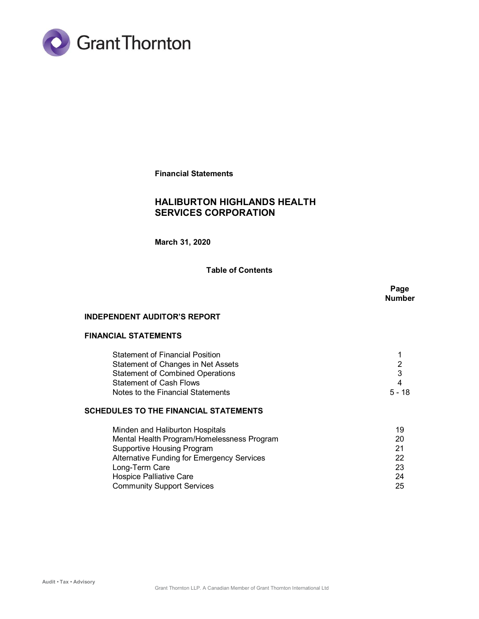

#### **Financial Statements**

# **HALIBURTON HIGHLANDS HEALTH SERVICES CORPORATION**

**March 31, 2020**

# **Table of Contents**

|                                                                                                                                                                                                                                                           | Page<br><b>Number</b>                  |
|-----------------------------------------------------------------------------------------------------------------------------------------------------------------------------------------------------------------------------------------------------------|----------------------------------------|
| <b>INDEPENDENT AUDITOR'S REPORT</b>                                                                                                                                                                                                                       |                                        |
| <b>FINANCIAL STATEMENTS</b>                                                                                                                                                                                                                               |                                        |
| <b>Statement of Financial Position</b><br>Statement of Changes in Net Assets<br><b>Statement of Combined Operations</b><br><b>Statement of Cash Flows</b><br>Notes to the Financial Statements                                                            | 1<br>2<br>3<br>4<br>$5 - 18$           |
| <b>SCHEDULES TO THE FINANCIAL STATEMENTS</b>                                                                                                                                                                                                              |                                        |
| Minden and Haliburton Hospitals<br>Mental Health Program/Homelessness Program<br><b>Supportive Housing Program</b><br><b>Alternative Funding for Emergency Services</b><br>Long-Term Care<br>Hospice Palliative Care<br><b>Community Support Services</b> | 19<br>20<br>21<br>22<br>23<br>24<br>25 |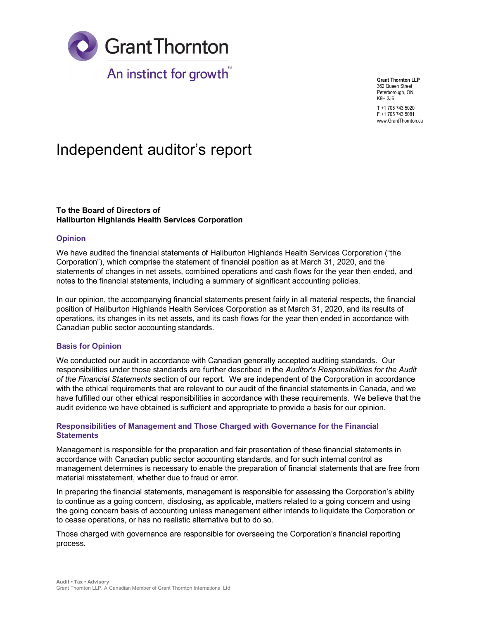

**Grant Thornton LLP** 362 Queen Street Peterborough, ON K9H 3J6 T +1 705 743 5020 F +1 705 743 5081 www.GrantThornton.ca

# Independent auditor's report

### **To the Board of Directors of Haliburton Highlands Health Services Corporation**

#### **Opinion**

We have audited the financial statements of Haliburton Highlands Health Services Corporation ("the Corporation"), which comprise the statement of financial position as at March 31, 2020, and the statements of changes in net assets, combined operations and cash flows for the year then ended, and notes to the financial statements, including a summary of significant accounting policies.

In our opinion, the accompanying financial statements present fairly in all material respects, the financial position of Haliburton Highlands Health Services Corporation as at March 31, 2020, and its results of operations, its changes in its net assets, and its cash flows for the year then ended in accordance with Canadian public sector accounting standards.

#### **Basis for Opinion**

We conducted our audit in accordance with Canadian generally accepted auditing standards. Our responsibilities under those standards are further described in the *Auditor's Responsibilities for the Audit of the Financial Statements* section of our report. We are independent of the Corporation in accordance with the ethical requirements that are relevant to our audit of the financial statements in Canada, and we have fulfilled our other ethical responsibilities in accordance with these requirements. We believe that the audit evidence we have obtained is sufficient and appropriate to provide a basis for our opinion.

### **Responsibilities of Management and Those Charged with Governance for the Financial Statements**

Management is responsible for the preparation and fair presentation of these financial statements in accordance with Canadian public sector accounting standards, and for such internal control as management determines is necessary to enable the preparation of financial statements that are free from material misstatement, whether due to fraud or error.

In preparing the financial statements, management is responsible for assessing the Corporation's ability to continue as a going concern, disclosing, as applicable, matters related to a going concern and using the going concern basis of accounting unless management either intends to liquidate the Corporation or to cease operations, or has no realistic alternative but to do so.

Those charged with governance are responsible for overseeing the Corporation's financial reporting process.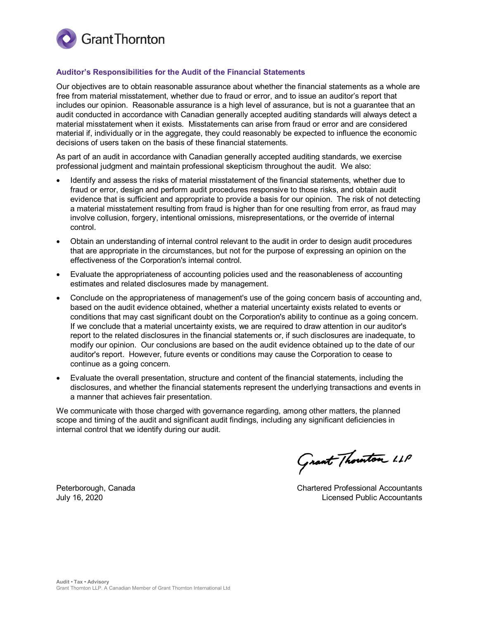

# **Auditor's Responsibilities for the Audit of the Financial Statements**

Our objectives are to obtain reasonable assurance about whether the financial statements as a whole are free from material misstatement, whether due to fraud or error, and to issue an auditor's report that includes our opinion. Reasonable assurance is a high level of assurance, but is not a guarantee that an audit conducted in accordance with Canadian generally accepted auditing standards will always detect a material misstatement when it exists. Misstatements can arise from fraud or error and are considered material if, individually or in the aggregate, they could reasonably be expected to influence the economic decisions of users taken on the basis of these financial statements.

As part of an audit in accordance with Canadian generally accepted auditing standards, we exercise professional judgment and maintain professional skepticism throughout the audit. We also:

- Identify and assess the risks of material misstatement of the financial statements, whether due to fraud or error, design and perform audit procedures responsive to those risks, and obtain audit evidence that is sufficient and appropriate to provide a basis for our opinion. The risk of not detecting a material misstatement resulting from fraud is higher than for one resulting from error, as fraud may involve collusion, forgery, intentional omissions, misrepresentations, or the override of internal control.
- · Obtain an understanding of internal control relevant to the audit in order to design audit procedures that are appropriate in the circumstances, but not for the purpose of expressing an opinion on the effectiveness of the Corporation's internal control.
- · Evaluate the appropriateness of accounting policies used and the reasonableness of accounting estimates and related disclosures made by management.
- · Conclude on the appropriateness of management's use of the going concern basis of accounting and, based on the audit evidence obtained, whether a material uncertainty exists related to events or conditions that may cast significant doubt on the Corporation's ability to continue as a going concern. If we conclude that a material uncertainty exists, we are required to draw attention in our auditor's report to the related disclosures in the financial statements or, if such disclosures are inadequate, to modify our opinion. Our conclusions are based on the audit evidence obtained up to the date of our auditor's report. However, future events or conditions may cause the Corporation to cease to continue as a going concern.
- · Evaluate the overall presentation, structure and content of the financial statements, including the disclosures, and whether the financial statements represent the underlying transactions and events in a manner that achieves fair presentation.

We communicate with those charged with governance regarding, among other matters, the planned scope and timing of the audit and significant audit findings, including any significant deficiencies in internal control that we identify during our audit.

Grant Thouton LLP

Peterborough, Canada Chartered Professional Accountants July 16, 2020 Licensed Public Accountants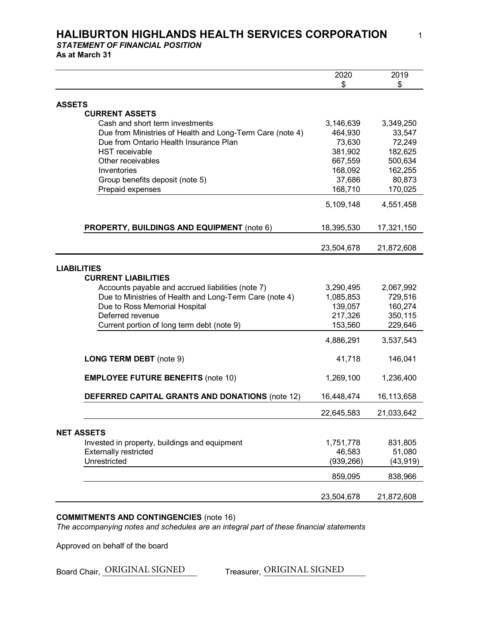*STATEMENT OF FINANCIAL POSITION*

**As at March 31**

|                                                                                                     | 2020                | 2019               |
|-----------------------------------------------------------------------------------------------------|---------------------|--------------------|
|                                                                                                     | \$                  | \$                 |
|                                                                                                     |                     |                    |
| <b>ASSETS</b>                                                                                       |                     |                    |
| <b>CURRENT ASSETS</b>                                                                               |                     |                    |
| Cash and short term investments                                                                     | 3,146,639           | 3,349,250          |
| Due from Ministries of Health and Long-Term Care (note 4)<br>Due from Ontario Health Insurance Plan | 464,930<br>73,630   | 33,547<br>72,249   |
| HST receivable                                                                                      | 381,902             | 182,625            |
| Other receivables                                                                                   | 667,559             | 500,634            |
| Inventories                                                                                         | 168,092             | 162,255            |
| Group benefits deposit (note 5)                                                                     | 37,686              | 80,873             |
| Prepaid expenses                                                                                    | 168,710             | 170,025            |
|                                                                                                     | 5,109,148           | 4,551,458          |
|                                                                                                     |                     |                    |
| <b>PROPERTY, BUILDINGS AND EQUIPMENT (note 6)</b>                                                   | 18,395,530          | 17,321,150         |
|                                                                                                     | 23,504,678          | 21,872,608         |
|                                                                                                     |                     |                    |
| <b>LIABILITIES</b>                                                                                  |                     |                    |
| <b>CURRENT LIABILITIES</b>                                                                          |                     |                    |
| Accounts payable and accrued liabilities (note 7)                                                   | 3,290,495           | 2,067,992          |
| Due to Ministries of Health and Long-Term Care (note 4)                                             | 1,085,853           | 729,516            |
| Due to Ross Memorial Hospital                                                                       | 139,057             | 160,274            |
| Deferred revenue<br>Current portion of long term debt (note 9)                                      | 217,326<br>153,560  | 350,115<br>229,646 |
|                                                                                                     |                     |                    |
|                                                                                                     | 4,886,291           | 3,537,543          |
| <b>LONG TERM DEBT</b> (note 9)                                                                      | 41,718              | 146,041            |
| <b>EMPLOYEE FUTURE BENEFITS (note 10)</b>                                                           | 1,269,100           | 1,236,400          |
| <b>DEFERRED CAPITAL GRANTS AND DONATIONS (note 12)</b>                                              | 16,448,474          | 16,113,658         |
|                                                                                                     | 22,645,583          | 21,033,642         |
|                                                                                                     |                     |                    |
| <b>NET ASSETS</b>                                                                                   |                     |                    |
| Invested in property, buildings and equipment<br><b>Externally restricted</b>                       | 1,751,778<br>46,583 | 831,805<br>51,080  |
| Unrestricted                                                                                        | (939, 266)          | (43, 919)          |
|                                                                                                     | 859,095             | 838,966            |
|                                                                                                     |                     |                    |
|                                                                                                     | 23,504,678          | 21,872,608         |

**COMMITMENTS AND CONTINGENCIES** (note 16)

*The accompanying notes and schedules are an integral part of these financial statements*

Approved on behalf of the board

Board Chair, ORIGINAL SIGNED Treasurer, ORIGINAL SIGNED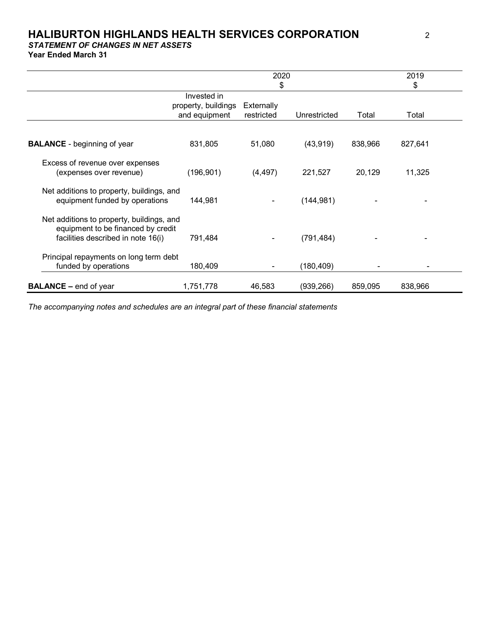*STATEMENT OF CHANGES IN NET ASSETS*

**Year Ended March 31**

|                                                                                                                       |                                                     | 2020<br>$\$\$            |              |         | 2019<br>\$ |  |
|-----------------------------------------------------------------------------------------------------------------------|-----------------------------------------------------|--------------------------|--------------|---------|------------|--|
|                                                                                                                       | Invested in<br>property, buildings<br>and equipment | Externally<br>restricted | Unrestricted | Total   | Total      |  |
| <b>BALANCE</b> - beginning of year                                                                                    | 831,805                                             | 51,080                   | (43, 919)    | 838,966 | 827,641    |  |
| Excess of revenue over expenses<br>(expenses over revenue)                                                            | (196, 901)                                          | (4, 497)                 | 221,527      | 20,129  | 11,325     |  |
| Net additions to property, buildings, and<br>equipment funded by operations                                           | 144,981                                             |                          | (144, 981)   |         |            |  |
| Net additions to property, buildings, and<br>equipment to be financed by credit<br>facilities described in note 16(i) | 791,484                                             |                          | (791, 484)   |         |            |  |
| Principal repayments on long term debt<br>funded by operations                                                        | 180,409                                             | $\overline{\phantom{a}}$ | (180, 409)   |         |            |  |
| <b>BALANCE</b> – end of year                                                                                          | 1,751,778                                           | 46,583                   | (939, 266)   | 859,095 | 838,966    |  |

*The accompanying notes and schedules are an integral part of these financial statements*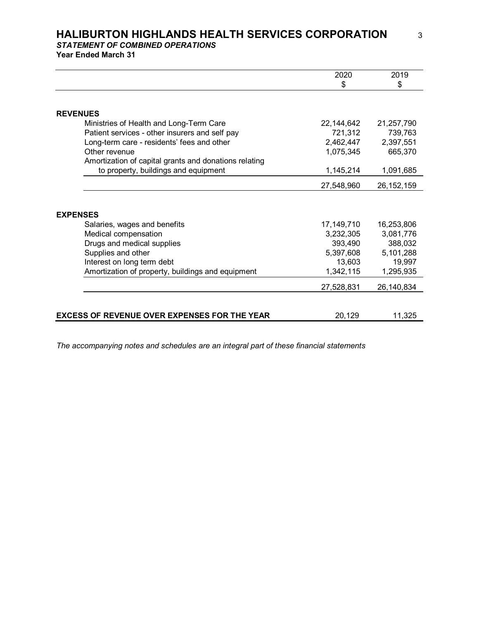*STATEMENT OF COMBINED OPERATIONS*

**Year Ended March 31**

|                                                       | 2020       | 2019         |
|-------------------------------------------------------|------------|--------------|
|                                                       | \$         | \$           |
|                                                       |            |              |
| <b>REVENUES</b>                                       |            |              |
| Ministries of Health and Long-Term Care               | 22,144,642 | 21,257,790   |
| Patient services - other insurers and self pay        | 721,312    | 739,763      |
| Long-term care - residents' fees and other            | 2,462,447  | 2,397,551    |
| Other revenue                                         | 1,075,345  | 665,370      |
| Amortization of capital grants and donations relating |            |              |
| to property, buildings and equipment                  | 1,145,214  | 1,091,685    |
|                                                       | 27,548,960 | 26, 152, 159 |
|                                                       |            |              |
| <b>EXPENSES</b>                                       |            |              |
| Salaries, wages and benefits                          | 17,149,710 | 16,253,806   |
| Medical compensation                                  | 3,232,305  | 3,081,776    |
| Drugs and medical supplies                            | 393,490    | 388,032      |
| Supplies and other                                    | 5,397,608  | 5,101,288    |
| Interest on long term debt                            | 13,603     | 19,997       |
| Amortization of property, buildings and equipment     | 1,342,115  | 1,295,935    |
|                                                       | 27,528,831 | 26,140,834   |
|                                                       |            |              |
| <b>EXCESS OF REVENUE OVER EXPENSES FOR THE YEAR</b>   | 20,129     | 11,325       |

*The accompanying notes and schedules are an integral part of these financial statements*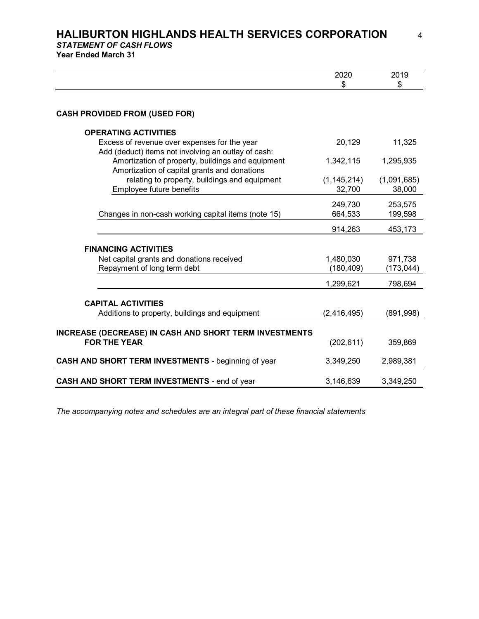*STATEMENT OF CASH FLOWS*

**Year Ended March 31**

|                                                                                                     | 2020                    | 2019                  |
|-----------------------------------------------------------------------------------------------------|-------------------------|-----------------------|
|                                                                                                     | \$                      | \$                    |
|                                                                                                     |                         |                       |
| <b>CASH PROVIDED FROM (USED FOR)</b>                                                                |                         |                       |
| <b>OPERATING ACTIVITIES</b>                                                                         |                         |                       |
| Excess of revenue over expenses for the year<br>Add (deduct) items not involving an outlay of cash: | 20,129                  | 11,325                |
| Amortization of property, buildings and equipment<br>Amortization of capital grants and donations   | 1,342,115               | 1,295,935             |
| relating to property, buildings and equipment<br>Employee future benefits                           | (1, 145, 214)<br>32,700 | (1,091,685)<br>38,000 |
|                                                                                                     | 249,730                 | 253,575               |
| Changes in non-cash working capital items (note 15)                                                 | 664,533                 | 199,598               |
|                                                                                                     | 914,263                 | 453,173               |
| <b>FINANCING ACTIVITIES</b>                                                                         |                         |                       |
| Net capital grants and donations received                                                           | 1,480,030               | 971,738               |
| Repayment of long term debt                                                                         | (180, 409)              | (173, 044)            |
|                                                                                                     | 1,299,621               | 798,694               |
| <b>CAPITAL ACTIVITIES</b>                                                                           |                         |                       |
| Additions to property, buildings and equipment                                                      | (2, 416, 495)           | (891, 998)            |
|                                                                                                     |                         |                       |
| INCREASE (DECREASE) IN CASH AND SHORT TERM INVESTMENTS<br><b>FOR THE YEAR</b>                       | (202, 611)              | 359,869               |
| CASH AND SHORT TERM INVESTMENTS - beginning of year                                                 | 3,349,250               | 2,989,381             |
| <b>CASH AND SHORT TERM INVESTMENTS - end of year</b>                                                | 3,146,639               | 3,349,250             |

*The accompanying notes and schedules are an integral part of these financial statements*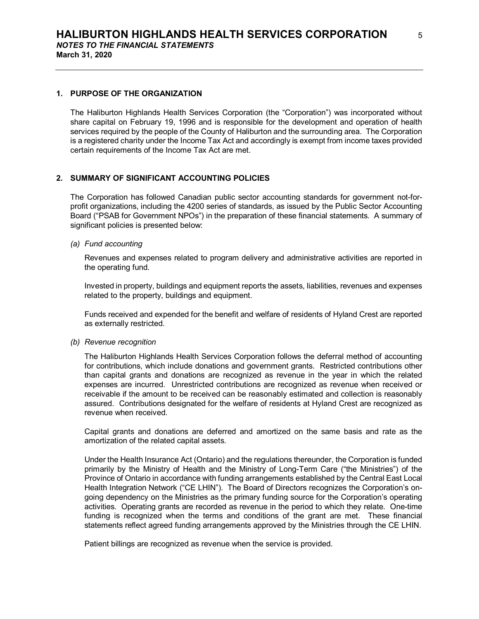#### **1. PURPOSE OF THE ORGANIZATION**

The Haliburton Highlands Health Services Corporation (the "Corporation") was incorporated without share capital on February 19, 1996 and is responsible for the development and operation of health services required by the people of the County of Haliburton and the surrounding area. The Corporation is a registered charity under the Income Tax Act and accordingly is exempt from income taxes provided certain requirements of the Income Tax Act are met.

#### **2. SUMMARY OF SIGNIFICANT ACCOUNTING POLICIES**

 The Corporation has followed Canadian public sector accounting standards for government not-forprofit organizations, including the 4200 series of standards, as issued by the Public Sector Accounting Board ("PSAB for Government NPOs") in the preparation of these financial statements. A summary of significant policies is presented below:

#### *(a) Fund accounting*

Revenues and expenses related to program delivery and administrative activities are reported in the operating fund.

Invested in property, buildings and equipment reports the assets, liabilities, revenues and expenses related to the property, buildings and equipment.

Funds received and expended for the benefit and welfare of residents of Hyland Crest are reported as externally restricted.

#### *(b) Revenue recognition*

The Haliburton Highlands Health Services Corporation follows the deferral method of accounting for contributions, which include donations and government grants. Restricted contributions other than capital grants and donations are recognized as revenue in the year in which the related expenses are incurred. Unrestricted contributions are recognized as revenue when received or receivable if the amount to be received can be reasonably estimated and collection is reasonably assured. Contributions designated for the welfare of residents at Hyland Crest are recognized as revenue when received.

Capital grants and donations are deferred and amortized on the same basis and rate as the amortization of the related capital assets.

Under the Health Insurance Act (Ontario) and the regulations thereunder, the Corporation is funded primarily by the Ministry of Health and the Ministry of Long-Term Care ("the Ministries") of the Province of Ontario in accordance with funding arrangements established by the Central East Local Health Integration Network ("CE LHIN"). The Board of Directors recognizes the Corporation's ongoing dependency on the Ministries as the primary funding source for the Corporation's operating activities. Operating grants are recorded as revenue in the period to which they relate. One-time funding is recognized when the terms and conditions of the grant are met. These financial statements reflect agreed funding arrangements approved by the Ministries through the CE LHIN.

Patient billings are recognized as revenue when the service is provided.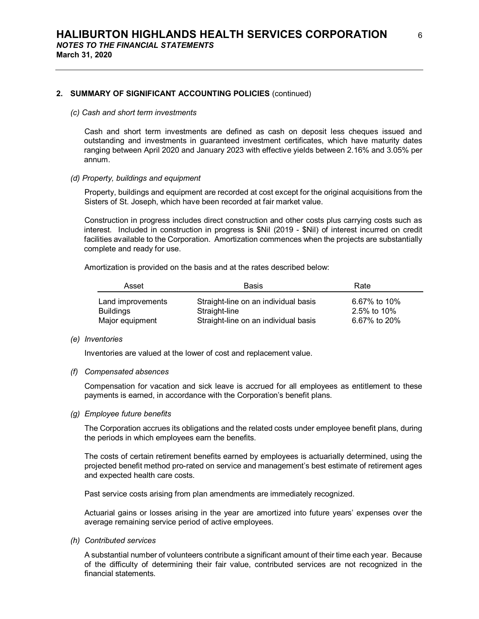#### **2. SUMMARY OF SIGNIFICANT ACCOUNTING POLICIES** (continued)

#### *(c) Cash and short term investments*

Cash and short term investments are defined as cash on deposit less cheques issued and outstanding and investments in guaranteed investment certificates, which have maturity dates ranging between April 2020 and January 2023 with effective yields between 2.16% and 3.05% per annum.

#### *(d) Property, buildings and equipment*

 Property, buildings and equipment are recorded at cost except for the original acquisitions from the Sisters of St. Joseph, which have been recorded at fair market value.

Construction in progress includes direct construction and other costs plus carrying costs such as interest. Included in construction in progress is \$Nil (2019 - \$Nil) of interest incurred on credit facilities available to the Corporation. Amortization commences when the projects are substantially complete and ready for use.

Amortization is provided on the basis and at the rates described below:

| Asset             | <b>Basis</b>                         | Rate         |
|-------------------|--------------------------------------|--------------|
| Land improvements | Straight-line on an individual basis | 6.67% to 10% |
| <b>Buildings</b>  | Straight-line                        | 2.5% to 10%  |
| Major equipment   | Straight-line on an individual basis | 6.67% to 20% |

#### *(e) Inventories*

Inventories are valued at the lower of cost and replacement value.

### *(f) Compensated absences*

Compensation for vacation and sick leave is accrued for all employees as entitlement to these payments is earned, in accordance with the Corporation's benefit plans.

#### *(g) Employee future benefits*

The Corporation accrues its obligations and the related costs under employee benefit plans, during the periods in which employees earn the benefits.

The costs of certain retirement benefits earned by employees is actuarially determined, using the projected benefit method pro-rated on service and management's best estimate of retirement ages and expected health care costs.

Past service costs arising from plan amendments are immediately recognized.

Actuarial gains or losses arising in the year are amortized into future years' expenses over the average remaining service period of active employees.

#### *(h) Contributed services*

A substantial number of volunteers contribute a significant amount of their time each year. Because of the difficulty of determining their fair value, contributed services are not recognized in the financial statements.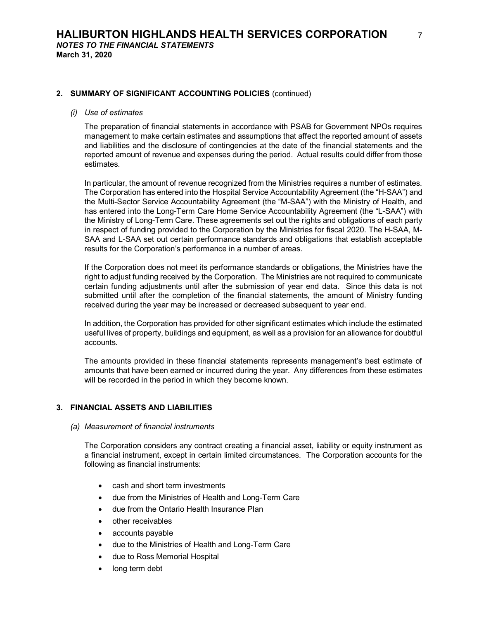#### **2. SUMMARY OF SIGNIFICANT ACCOUNTING POLICIES** (continued)

#### *(i) Use of estimates*

The preparation of financial statements in accordance with PSAB for Government NPOs requires management to make certain estimates and assumptions that affect the reported amount of assets and liabilities and the disclosure of contingencies at the date of the financial statements and the reported amount of revenue and expenses during the period. Actual results could differ from those estimates.

In particular, the amount of revenue recognized from the Ministries requires a number of estimates. The Corporation has entered into the Hospital Service Accountability Agreement (the "H-SAA") and the Multi-Sector Service Accountability Agreement (the "M-SAA") with the Ministry of Health, and has entered into the Long-Term Care Home Service Accountability Agreement (the "L-SAA") with the Ministry of Long-Term Care. These agreements set out the rights and obligations of each party in respect of funding provided to the Corporation by the Ministries for fiscal 2020. The H-SAA, M-SAA and L-SAA set out certain performance standards and obligations that establish acceptable results for the Corporation's performance in a number of areas.

If the Corporation does not meet its performance standards or obligations, the Ministries have the right to adjust funding received by the Corporation. The Ministries are not required to communicate certain funding adjustments until after the submission of year end data. Since this data is not submitted until after the completion of the financial statements, the amount of Ministry funding received during the year may be increased or decreased subsequent to year end.

In addition, the Corporation has provided for other significant estimates which include the estimated useful lives of property, buildings and equipment, as well as a provision for an allowance for doubtful accounts.

The amounts provided in these financial statements represents management's best estimate of amounts that have been earned or incurred during the year. Any differences from these estimates will be recorded in the period in which they become known.

#### **3. FINANCIAL ASSETS AND LIABILITIES**

#### *(a) Measurement of financial instruments*

The Corporation considers any contract creating a financial asset, liability or equity instrument as a financial instrument, except in certain limited circumstances. The Corporation accounts for the following as financial instruments:

- · cash and short term investments
- · due from the Ministries of Health and Long-Term Care
- · due from the Ontario Health Insurance Plan
- · other receivables
- · accounts payable
- · due to the Ministries of Health and Long-Term Care
- · due to Ross Memorial Hospital
- long term debt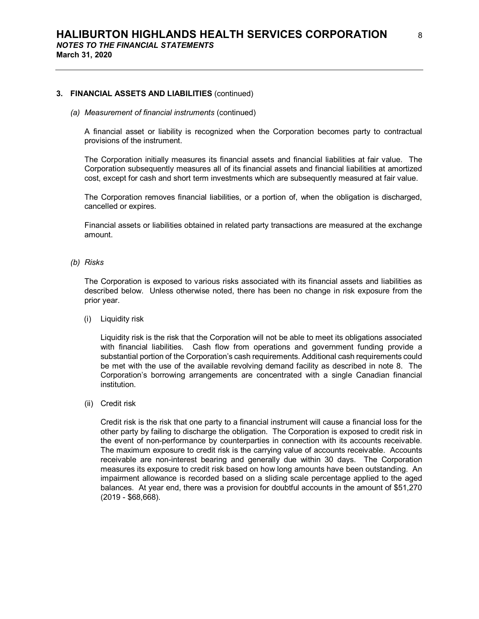#### **3. FINANCIAL ASSETS AND LIABILITIES** (continued)

#### *(a) Measurement of financial instruments* (continued)

A financial asset or liability is recognized when the Corporation becomes party to contractual provisions of the instrument.

The Corporation initially measures its financial assets and financial liabilities at fair value. The Corporation subsequently measures all of its financial assets and financial liabilities at amortized cost, except for cash and short term investments which are subsequently measured at fair value.

The Corporation removes financial liabilities, or a portion of, when the obligation is discharged, cancelled or expires.

Financial assets or liabilities obtained in related party transactions are measured at the exchange amount.

*(b) Risks*

The Corporation is exposed to various risks associated with its financial assets and liabilities as described below. Unless otherwise noted, there has been no change in risk exposure from the prior year.

(i) Liquidity risk

Liquidity risk is the risk that the Corporation will not be able to meet its obligations associated with financial liabilities. Cash flow from operations and government funding provide a substantial portion of the Corporation's cash requirements. Additional cash requirements could be met with the use of the available revolving demand facility as described in note 8. The Corporation's borrowing arrangements are concentrated with a single Canadian financial institution.

(ii) Credit risk

Credit risk is the risk that one party to a financial instrument will cause a financial loss for the other party by failing to discharge the obligation. The Corporation is exposed to credit risk in the event of non-performance by counterparties in connection with its accounts receivable. The maximum exposure to credit risk is the carrying value of accounts receivable. Accounts receivable are non-interest bearing and generally due within 30 days. The Corporation measures its exposure to credit risk based on how long amounts have been outstanding. An impairment allowance is recorded based on a sliding scale percentage applied to the aged balances. At year end, there was a provision for doubtful accounts in the amount of \$51,270 (2019 - \$68,668).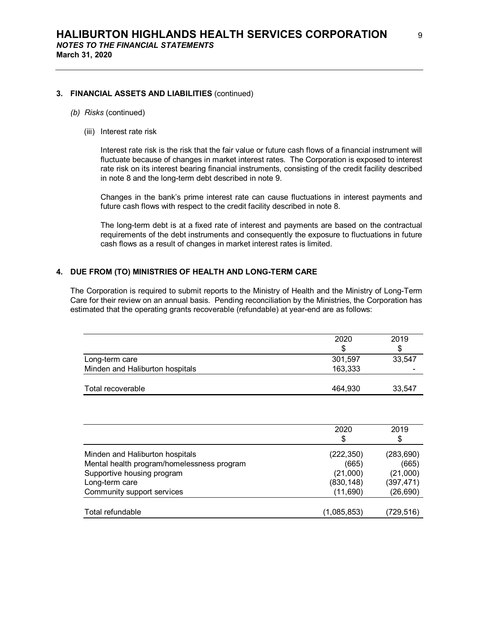#### **3. FINANCIAL ASSETS AND LIABILITIES** (continued)

#### *(b) Risks* (continued)

(iii) Interest rate risk

Interest rate risk is the risk that the fair value or future cash flows of a financial instrument will fluctuate because of changes in market interest rates. The Corporation is exposed to interest rate risk on its interest bearing financial instruments, consisting of the credit facility described in note 8 and the long-term debt described in note 9.

Changes in the bank's prime interest rate can cause fluctuations in interest payments and future cash flows with respect to the credit facility described in note 8.

The long-term debt is at a fixed rate of interest and payments are based on the contractual requirements of the debt instruments and consequently the exposure to fluctuations in future cash flows as a result of changes in market interest rates is limited.

# **4. DUE FROM (TO) MINISTRIES OF HEALTH AND LONG-TERM CARE**

The Corporation is required to submit reports to the Ministry of Health and the Ministry of Long-Term Care for their review on an annual basis. Pending reconciliation by the Ministries, the Corporation has estimated that the operating grants recoverable (refundable) at year-end are as follows:

|                                 | 2020    | 2019   |
|---------------------------------|---------|--------|
|                                 |         | S      |
| Long-term care                  | 301,597 | 33,547 |
| Minden and Haliburton hospitals | 163,333 | $\,$   |
|                                 |         |        |
| Total recoverable               | 464,930 | 33,547 |

|                                            | 2020<br>\$  | 2019<br>\$ |
|--------------------------------------------|-------------|------------|
| Minden and Haliburton hospitals            | (222, 350)  | (283, 690) |
| Mental health program/homelessness program | (665)       | (665)      |
| Supportive housing program                 | (21,000)    | (21,000)   |
| Long-term care                             | (830, 148)  | (397, 471) |
| Community support services                 | (11,690)    | (26, 690)  |
|                                            |             |            |
| Total refundable                           | (1,085,853) | (729,516)  |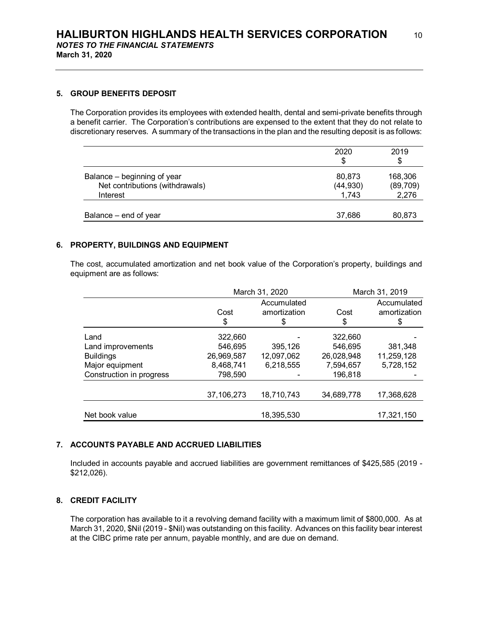#### **5. GROUP BENEFITS DEPOSIT**

The Corporation provides its employees with extended health, dental and semi-private benefits through a benefit carrier. The Corporation's contributions are expensed to the extent that they do not relate to discretionary reserves. A summary of the transactions in the plan and the resulting deposit is as follows:

|                                 | 2020<br>\$ | 2019<br>\$ |
|---------------------------------|------------|------------|
| Balance - beginning of year     | 80,873     | 168,306    |
| Net contributions (withdrawals) | (44, 930)  | (89, 709)  |
| Interest                        | 1,743      | 2,276      |
|                                 |            |            |
| Balance – end of year           | 37,686     | 80,873     |

# **6. PROPERTY, BUILDINGS AND EQUIPMENT**

The cost, accumulated amortization and net book value of the Corporation's property, buildings and equipment are as follows:

|                          | March 31, 2020 |              | March 31, 2019 |              |
|--------------------------|----------------|--------------|----------------|--------------|
|                          | Accumulated    |              |                | Accumulated  |
|                          | Cost           | amortization | Cost           | amortization |
|                          | \$             | \$           | \$             | \$           |
| Land                     | 322,660        |              | 322,660        |              |
| Land improvements        | 546,695        | 395,126      | 546,695        | 381,348      |
| <b>Buildings</b>         | 26,969,587     | 12,097,062   | 26,028,948     | 11,259,128   |
| Major equipment          | 8,468,741      | 6,218,555    | 7,594,657      | 5,728,152    |
| Construction in progress | 798,590        |              | 196,818        |              |
|                          |                |              |                |              |
|                          | 37,106,273     | 18,710,743   | 34.689.778     | 17.368.628   |
| Net book value           |                | 18,395,530   |                | 17,321,150   |

### **7. ACCOUNTS PAYABLE AND ACCRUED LIABILITIES**

Included in accounts payable and accrued liabilities are government remittances of \$425,585 (2019 - \$212,026).

# **8. CREDIT FACILITY**

The corporation has available to it a revolving demand facility with a maximum limit of \$800,000. As at March 31, 2020, \$Nil (2019 - \$Nil) was outstanding on this facility. Advances on this facility bear interest at the CIBC prime rate per annum, payable monthly, and are due on demand.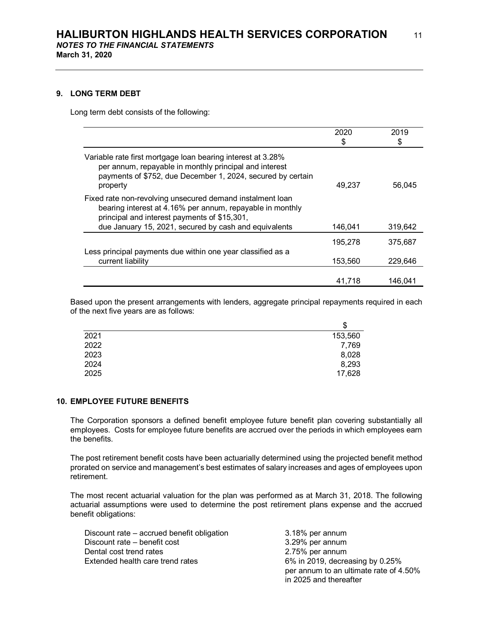#### **9. LONG TERM DEBT**

Long term debt consists of the following:

|                                                                                                                                                                                                                                 | 2020    | 2019    |
|---------------------------------------------------------------------------------------------------------------------------------------------------------------------------------------------------------------------------------|---------|---------|
|                                                                                                                                                                                                                                 | \$      | \$      |
| Variable rate first mortgage loan bearing interest at 3.28%<br>per annum, repayable in monthly principal and interest<br>payments of \$752, due December 1, 2024, secured by certain<br>property                                | 49,237  | 56,045  |
| Fixed rate non-revolving unsecured demand instalment loan<br>bearing interest at 4.16% per annum, repayable in monthly<br>principal and interest payments of \$15,301,<br>due January 15, 2021, secured by cash and equivalents | 146,041 | 319.642 |
|                                                                                                                                                                                                                                 | 195.278 | 375.687 |
| Less principal payments due within one year classified as a<br>current liability                                                                                                                                                | 153,560 | 229,646 |
|                                                                                                                                                                                                                                 | 41.718  | 146,041 |

Based upon the present arrangements with lenders, aggregate principal repayments required in each of the next five years are as follows:

|      | \$      |
|------|---------|
| 2021 | 153,560 |
| 2022 | 7,769   |
| 2023 | 8,028   |
| 2024 | 8,293   |
| 2025 | 17,628  |

### **10. EMPLOYEE FUTURE BENEFITS**

The Corporation sponsors a defined benefit employee future benefit plan covering substantially all employees. Costs for employee future benefits are accrued over the periods in which employees earn the benefits.

The post retirement benefit costs have been actuarially determined using the projected benefit method prorated on service and management's best estimates of salary increases and ages of employees upon retirement.

The most recent actuarial valuation for the plan was performed as at March 31, 2018. The following actuarial assumptions were used to determine the post retirement plans expense and the accrued benefit obligations:

| Discount rate – accrued benefit obligation | 3.18% per annum                        |
|--------------------------------------------|----------------------------------------|
| Discount rate – benefit cost               | 3.29% per annum                        |
| Dental cost trend rates                    | 2.75% per annum                        |
| Extended health care trend rates           | 6% in 2019, decreasing by 0.25%        |
|                                            | per annum to an ultimate rate of 4.50% |
|                                            | in 2025 and thereafter                 |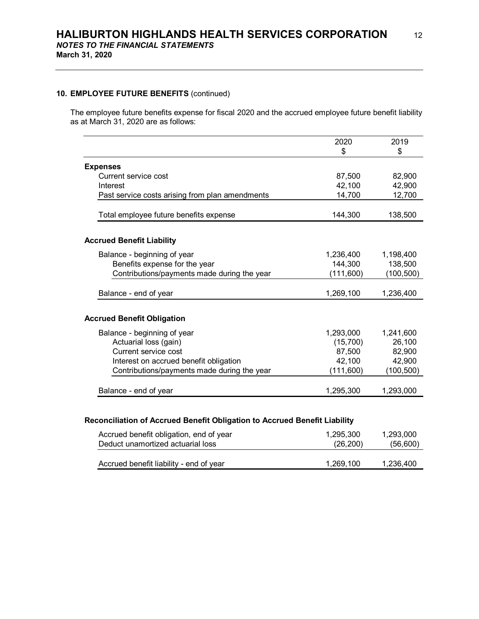### **10. EMPLOYEE FUTURE BENEFITS** (continued)

The employee future benefits expense for fiscal 2020 and the accrued employee future benefit liability as at March 31, 2020 are as follows:

|                                                                           | 2020      | 2019       |
|---------------------------------------------------------------------------|-----------|------------|
|                                                                           | \$        | \$         |
| <b>Expenses</b>                                                           |           |            |
| Current service cost                                                      | 87,500    | 82,900     |
| Interest                                                                  | 42,100    | 42,900     |
| Past service costs arising from plan amendments                           | 14,700    | 12,700     |
| Total employee future benefits expense                                    | 144,300   | 138,500    |
|                                                                           |           |            |
| <b>Accrued Benefit Liability</b>                                          |           |            |
| Balance - beginning of year                                               | 1,236,400 | 1,198,400  |
| Benefits expense for the year                                             | 144,300   | 138,500    |
| Contributions/payments made during the year                               | (111,600) | (100, 500) |
| Balance - end of year                                                     | 1,269,100 | 1,236,400  |
|                                                                           |           |            |
| <b>Accrued Benefit Obligation</b>                                         |           |            |
| Balance - beginning of year                                               | 1,293,000 | 1,241,600  |
| Actuarial loss (gain)                                                     | (15,700)  | 26,100     |
| Current service cost                                                      | 87,500    | 82,900     |
| Interest on accrued benefit obligation                                    | 42,100    | 42,900     |
| Contributions/payments made during the year                               | (111,600) | (100, 500) |
| Balance - end of year                                                     | 1,295,300 | 1,293,000  |
|                                                                           |           |            |
| Reconciliation of Accrued Benefit Obligation to Accrued Benefit Liability |           |            |

| Accrued benefit obligation, end of year | 1.295.300 | 1.293.000 |
|-----------------------------------------|-----------|-----------|
| Deduct unamortized actuarial loss       | (26.200)  | (56,600)  |
| Accrued benefit liability - end of year | 1.269.100 | 1,236,400 |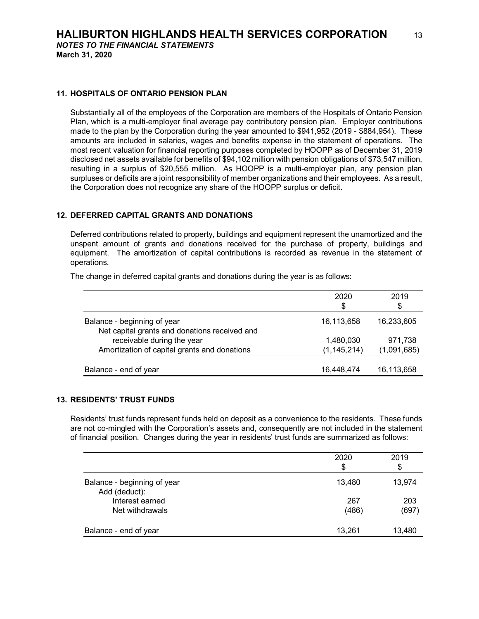#### **11. HOSPITALS OF ONTARIO PENSION PLAN**

Substantially all of the employees of the Corporation are members of the Hospitals of Ontario Pension Plan, which is a multi-employer final average pay contributory pension plan. Employer contributions made to the plan by the Corporation during the year amounted to \$941,952 (2019 - \$884,954). These amounts are included in salaries, wages and benefits expense in the statement of operations. The most recent valuation for financial reporting purposes completed by HOOPP as of December 31, 2019 disclosed net assets available for benefits of \$94,102 million with pension obligations of \$73,547 million, resulting in a surplus of \$20,555 million. As HOOPP is a multi-employer plan, any pension plan surpluses or deficits are a joint responsibility of member organizations and their employees. As a result, the Corporation does not recognize any share of the HOOPP surplus or deficit.

# **12. DEFERRED CAPITAL GRANTS AND DONATIONS**

Deferred contributions related to property, buildings and equipment represent the unamortized and the unspent amount of grants and donations received for the purchase of property, buildings and equipment. The amortization of capital contributions is recorded as revenue in the statement of operations.

The change in deferred capital grants and donations during the year is as follows:

|                                                                              | 2020<br>\$    | 2019<br>\$  |
|------------------------------------------------------------------------------|---------------|-------------|
| Balance - beginning of year<br>Net capital grants and donations received and | 16,113,658    | 16,233,605  |
| receivable during the year                                                   | 1,480,030     | 971,738     |
| Amortization of capital grants and donations                                 | (1, 145, 214) | (1,091,685) |
| Balance - end of year                                                        | 16,448,474    | 16,113,658  |

# **13. RESIDENTS' TRUST FUNDS**

Residents' trust funds represent funds held on deposit as a convenience to the residents. These funds are not co-mingled with the Corporation's assets and, consequently are not included in the statement of financial position. Changes during the year in residents' trust funds are summarized as follows:

|                                              | 2020<br>\$ | 2019<br>\$ |
|----------------------------------------------|------------|------------|
| Balance - beginning of year<br>Add (deduct): | 13,480     | 13,974     |
| Interest earned                              | 267        | 203        |
| Net withdrawals                              | (486)      | (697)      |
| Balance - end of year                        | 13,261     | 13,480     |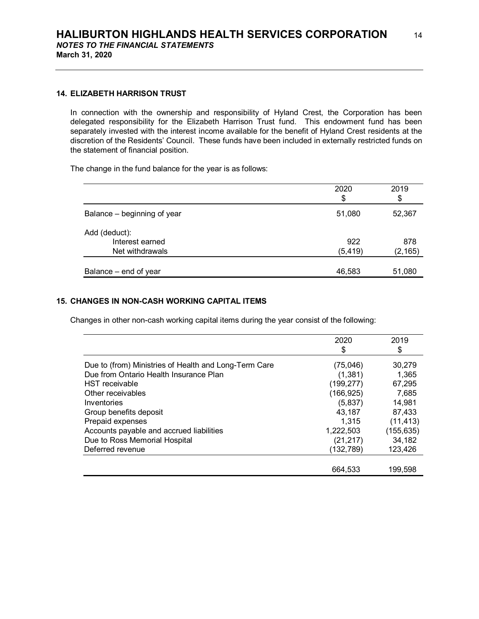#### **14. ELIZABETH HARRISON TRUST**

In connection with the ownership and responsibility of Hyland Crest, the Corporation has been delegated responsibility for the Elizabeth Harrison Trust fund. This endowment fund has been separately invested with the interest income available for the benefit of Hyland Crest residents at the discretion of the Residents' Council. These funds have been included in externally restricted funds on the statement of financial position.

The change in the fund balance for the year is as follows:

| \$     | \$                 |
|--------|--------------------|
| 51,080 | 52,367             |
| 922    | 878<br>(2, 165)    |
|        | 51,080             |
|        | (5, 419)<br>46,583 |

# **15. CHANGES IN NON-CASH WORKING CAPITAL ITEMS**

Changes in other non-cash working capital items during the year consist of the following:

|                                                       | 2020       | 2019       |
|-------------------------------------------------------|------------|------------|
|                                                       | \$         | \$         |
| Due to (from) Ministries of Health and Long-Term Care | (75, 046)  | 30,279     |
| Due from Ontario Health Insurance Plan                | (1, 381)   | 1,365      |
| HST receivable                                        | (199, 277) | 67,295     |
| Other receivables                                     | (166, 925) | 7,685      |
| Inventories                                           | (5,837)    | 14,981     |
| Group benefits deposit                                | 43,187     | 87,433     |
| Prepaid expenses                                      | 1.315      | (11, 413)  |
| Accounts payable and accrued liabilities              | 1,222,503  | (155, 635) |
| Due to Ross Memorial Hospital                         | (21, 217)  | 34,182     |
| Deferred revenue                                      | (132, 789) | 123,426    |
|                                                       |            |            |
|                                                       | 664.533    | 199.598    |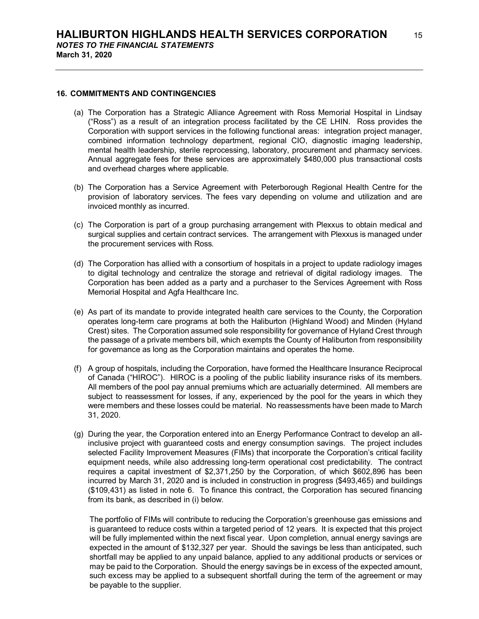#### **16. COMMITMENTS AND CONTINGENCIES**

- (a) The Corporation has a Strategic Alliance Agreement with Ross Memorial Hospital in Lindsay ("Ross") as a result of an integration process facilitated by the CE LHIN. Ross provides the Corporation with support services in the following functional areas: integration project manager, combined information technology department, regional CIO, diagnostic imaging leadership, mental health leadership, sterile reprocessing, laboratory, procurement and pharmacy services. Annual aggregate fees for these services are approximately \$480,000 plus transactional costs and overhead charges where applicable.
- (b) The Corporation has a Service Agreement with Peterborough Regional Health Centre for the provision of laboratory services. The fees vary depending on volume and utilization and are invoiced monthly as incurred.
- (c) The Corporation is part of a group purchasing arrangement with Plexxus to obtain medical and surgical supplies and certain contract services. The arrangement with Plexxus is managed under the procurement services with Ross.
- (d) The Corporation has allied with a consortium of hospitals in a project to update radiology images to digital technology and centralize the storage and retrieval of digital radiology images. The Corporation has been added as a party and a purchaser to the Services Agreement with Ross Memorial Hospital and Agfa Healthcare Inc.
- (e) As part of its mandate to provide integrated health care services to the County, the Corporation operates long-term care programs at both the Haliburton (Highland Wood) and Minden (Hyland Crest) sites. The Corporation assumed sole responsibility for governance of Hyland Crest through the passage of a private members bill, which exempts the County of Haliburton from responsibility for governance as long as the Corporation maintains and operates the home.
- (f) A group of hospitals, including the Corporation, have formed the Healthcare Insurance Reciprocal of Canada ("HIROC"). HIROC is a pooling of the public liability insurance risks of its members. All members of the pool pay annual premiums which are actuarially determined. All members are subject to reassessment for losses, if any, experienced by the pool for the years in which they were members and these losses could be material. No reassessments have been made to March 31, 2020.
- (g) During the year, the Corporation entered into an Energy Performance Contract to develop an allinclusive project with guaranteed costs and energy consumption savings. The project includes selected Facility Improvement Measures (FIMs) that incorporate the Corporation's critical facility equipment needs, while also addressing long-term operational cost predictability. The contract requires a capital investment of \$2,371,250 by the Corporation, of which \$602,896 has been incurred by March 31, 2020 and is included in construction in progress (\$493,465) and buildings (\$109,431) as listed in note 6. To finance this contract, the Corporation has secured financing from its bank, as described in (i) below.

The portfolio of FIMs will contribute to reducing the Corporation's greenhouse gas emissions and is guaranteed to reduce costs within a targeted period of 12 years. It is expected that this project will be fully implemented within the next fiscal year. Upon completion, annual energy savings are expected in the amount of \$132,327 per year. Should the savings be less than anticipated, such shortfall may be applied to any unpaid balance, applied to any additional products or services or may be paid to the Corporation. Should the energy savings be in excess of the expected amount, such excess may be applied to a subsequent shortfall during the term of the agreement or may be payable to the supplier.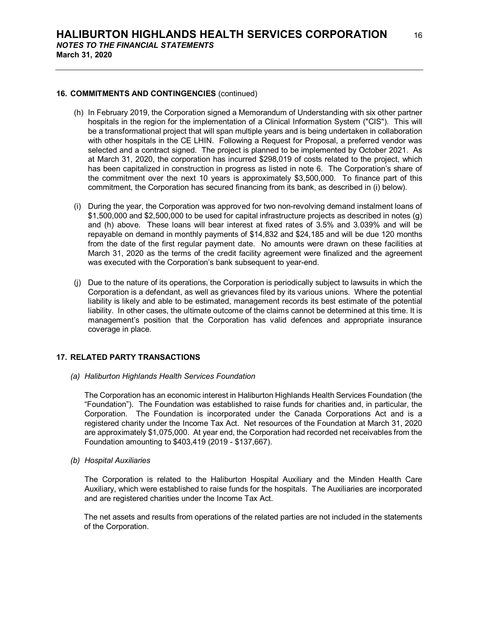#### **16. COMMITMENTS AND CONTINGENCIES** (continued)

- (h) In February 2019, the Corporation signed a Memorandum of Understanding with six other partner hospitals in the region for the implementation of a Clinical Information System ("CIS"). This will be a transformational project that will span multiple years and is being undertaken in collaboration with other hospitals in the CE LHIN. Following a Request for Proposal, a preferred vendor was selected and a contract signed. The project is planned to be implemented by October 2021. As at March 31, 2020, the corporation has incurred \$298,019 of costs related to the project, which has been capitalized in construction in progress as listed in note 6. The Corporation's share of the commitment over the next 10 years is approximately \$3,500,000. To finance part of this commitment, the Corporation has secured financing from its bank, as described in (i) below).
- (i) During the year, the Corporation was approved for two non-revolving demand instalment loans of \$1,500,000 and \$2,500,000 to be used for capital infrastructure projects as described in notes (g) and (h) above. These loans will bear interest at fixed rates of 3.5% and 3.039% and will be repayable on demand in monthly payments of \$14,832 and \$24,185 and will be due 120 months from the date of the first regular payment date. No amounts were drawn on these facilities at March 31, 2020 as the terms of the credit facility agreement were finalized and the agreement was executed with the Corporation's bank subsequent to year-end.
- (j) Due to the nature of its operations, the Corporation is periodically subject to lawsuits in which the Corporation is a defendant, as well as grievances filed by its various unions. Where the potential liability is likely and able to be estimated, management records its best estimate of the potential liability. In other cases, the ultimate outcome of the claims cannot be determined at this time. It is management's position that the Corporation has valid defences and appropriate insurance coverage in place.

#### **17. RELATED PARTY TRANSACTIONS**

*(a) Haliburton Highlands Health Services Foundation*

The Corporation has an economic interest in Haliburton Highlands Health Services Foundation (the "Foundation"). The Foundation was established to raise funds for charities and, in particular, the Corporation. The Foundation is incorporated under the Canada Corporations Act and is a registered charity under the Income Tax Act. Net resources of the Foundation at March 31, 2020 are approximately \$1,075,000. At year end, the Corporation had recorded net receivables from the Foundation amounting to \$403,419 (2019 - \$137,667).

*(b) Hospital Auxiliaries*

The Corporation is related to the Haliburton Hospital Auxiliary and the Minden Health Care Auxiliary, which were established to raise funds for the hospitals. The Auxiliaries are incorporated and are registered charities under the Income Tax Act.

The net assets and results from operations of the related parties are not included in the statements of the Corporation.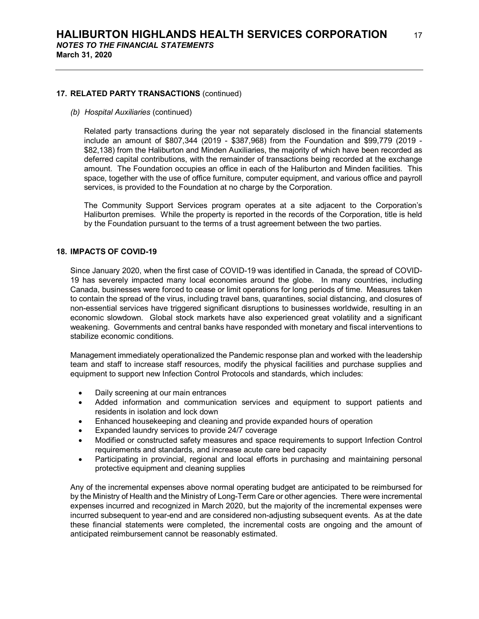#### **17. RELATED PARTY TRANSACTIONS** (continued)

#### *(b) Hospital Auxiliaries* (continued)

Related party transactions during the year not separately disclosed in the financial statements include an amount of \$807,344 (2019 - \$387,968) from the Foundation and \$99,779 (2019 - \$82,138) from the Haliburton and Minden Auxiliaries, the majority of which have been recorded as deferred capital contributions, with the remainder of transactions being recorded at the exchange amount. The Foundation occupies an office in each of the Haliburton and Minden facilities. This space, together with the use of office furniture, computer equipment, and various office and payroll services, is provided to the Foundation at no charge by the Corporation.

The Community Support Services program operates at a site adjacent to the Corporation's Haliburton premises. While the property is reported in the records of the Corporation, title is held by the Foundation pursuant to the terms of a trust agreement between the two parties.

#### **18. IMPACTS OF COVID-19**

Since January 2020, when the first case of COVID-19 was identified in Canada, the spread of COVID-19 has severely impacted many local economies around the globe. In many countries, including Canada, businesses were forced to cease or limit operations for long periods of time. Measures taken to contain the spread of the virus, including travel bans, quarantines, social distancing, and closures of non-essential services have triggered significant disruptions to businesses worldwide, resulting in an economic slowdown. Global stock markets have also experienced great volatility and a significant weakening. Governments and central banks have responded with monetary and fiscal interventions to stabilize economic conditions.

 Management immediately operationalized the Pandemic response plan and worked with the leadership team and staff to increase staff resources, modify the physical facilities and purchase supplies and equipment to support new Infection Control Protocols and standards, which includes:

- · Daily screening at our main entrances
- Added information and communication services and equipment to support patients and residents in isolation and lock down
- Enhanced housekeeping and cleaning and provide expanded hours of operation
- Expanded laundry services to provide 24/7 coverage
- · Modified or constructed safety measures and space requirements to support Infection Control requirements and standards, and increase acute care bed capacity
- · Participating in provincial, regional and local efforts in purchasing and maintaining personal protective equipment and cleaning supplies

 Any of the incremental expenses above normal operating budget are anticipated to be reimbursed for by the Ministry of Health and the Ministry of Long-Term Care or other agencies. There were incremental expenses incurred and recognized in March 2020, but the majority of the incremental expenses were incurred subsequent to year-end and are considered non-adjusting subsequent events. As at the date these financial statements were completed, the incremental costs are ongoing and the amount of anticipated reimbursement cannot be reasonably estimated.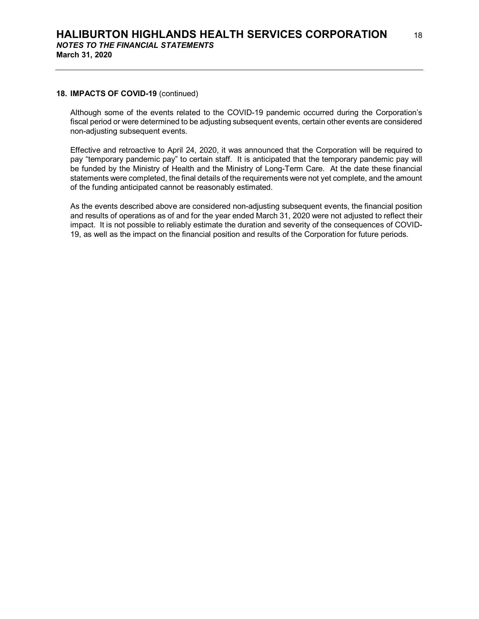#### **18. IMPACTS OF COVID-19** (continued)

 Although some of the events related to the COVID-19 pandemic occurred during the Corporation's fiscal period or were determined to be adjusting subsequent events, certain other events are considered non-adjusting subsequent events.

 Effective and retroactive to April 24, 2020, it was announced that the Corporation will be required to pay "temporary pandemic pay" to certain staff. It is anticipated that the temporary pandemic pay will be funded by the Ministry of Health and the Ministry of Long-Term Care. At the date these financial statements were completed, the final details of the requirements were not yet complete, and the amount of the funding anticipated cannot be reasonably estimated.

 As the events described above are considered non-adjusting subsequent events, the financial position and results of operations as of and for the year ended March 31, 2020 were not adjusted to reflect their impact. It is not possible to reliably estimate the duration and severity of the consequences of COVID-19, as well as the impact on the financial position and results of the Corporation for future periods.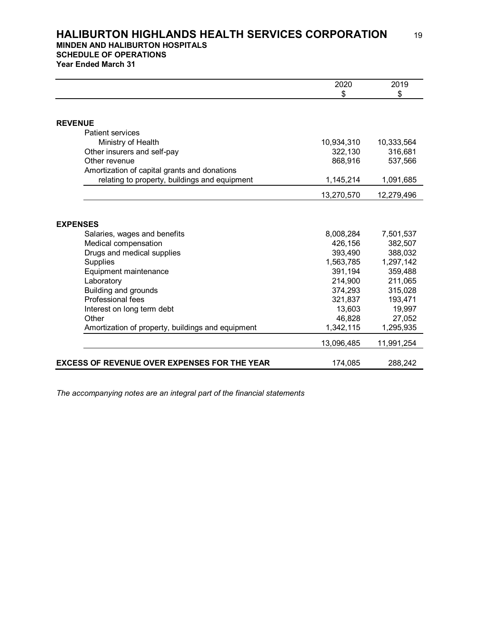# **MINDEN AND HALIBURTON HOSPITALS**

**SCHEDULE OF OPERATIONS**

**Year Ended March 31**

|                                                     | 2020       | 2019       |
|-----------------------------------------------------|------------|------------|
|                                                     | \$         | \$         |
|                                                     |            |            |
| <b>REVENUE</b>                                      |            |            |
| <b>Patient services</b>                             |            |            |
| Ministry of Health                                  | 10,934,310 | 10,333,564 |
| Other insurers and self-pay                         | 322,130    | 316,681    |
| Other revenue                                       | 868,916    | 537,566    |
| Amortization of capital grants and donations        |            |            |
| relating to property, buildings and equipment       | 1,145,214  | 1,091,685  |
|                                                     | 13,270,570 | 12,279,496 |
|                                                     |            |            |
| <b>EXPENSES</b>                                     |            |            |
| Salaries, wages and benefits                        | 8,008,284  | 7,501,537  |
| Medical compensation                                | 426,156    | 382,507    |
| Drugs and medical supplies                          | 393,490    | 388,032    |
| <b>Supplies</b>                                     | 1,563,785  | 1,297,142  |
| Equipment maintenance                               | 391,194    | 359,488    |
| Laboratory                                          | 214,900    | 211,065    |
| Building and grounds                                | 374,293    | 315,028    |
| Professional fees                                   | 321,837    | 193,471    |
| Interest on long term debt                          | 13,603     | 19,997     |
| Other                                               | 46,828     | 27,052     |
| Amortization of property, buildings and equipment   | 1,342,115  | 1,295,935  |
|                                                     | 13,096,485 | 11,991,254 |
| <b>EXCESS OF REVENUE OVER EXPENSES FOR THE YEAR</b> | 174,085    | 288,242    |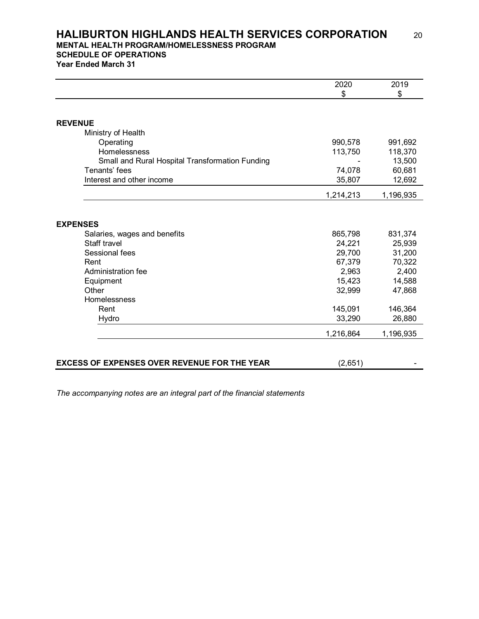**MENTAL HEALTH PROGRAM/HOMELESSNESS PROGRAM**

**SCHEDULE OF OPERATIONS**

**Year Ended March 31**

|                                                     | 2020      | 2019      |
|-----------------------------------------------------|-----------|-----------|
|                                                     | \$        | \$        |
|                                                     |           |           |
| <b>REVENUE</b>                                      |           |           |
| Ministry of Health                                  |           |           |
| Operating                                           | 990,578   | 991,692   |
| Homelessness                                        | 113,750   | 118,370   |
| Small and Rural Hospital Transformation Funding     |           | 13,500    |
| Tenants' fees                                       | 74,078    | 60,681    |
| Interest and other income                           | 35,807    | 12,692    |
|                                                     | 1,214,213 | 1,196,935 |
|                                                     |           |           |
| <b>EXPENSES</b>                                     |           |           |
| Salaries, wages and benefits                        | 865,798   | 831,374   |
| Staff travel                                        | 24,221    | 25,939    |
| Sessional fees                                      | 29,700    | 31,200    |
| Rent                                                | 67,379    | 70,322    |
| Administration fee                                  | 2,963     | 2,400     |
| Equipment                                           | 15,423    | 14,588    |
| Other                                               | 32,999    | 47,868    |
| Homelessness                                        |           |           |
| Rent                                                | 145,091   | 146,364   |
| Hydro                                               | 33,290    | 26,880    |
|                                                     | 1,216,864 | 1,196,935 |
|                                                     |           |           |
| <b>EXCESS OF EXPENSES OVER REVENUE FOR THE YEAR</b> | (2,651)   |           |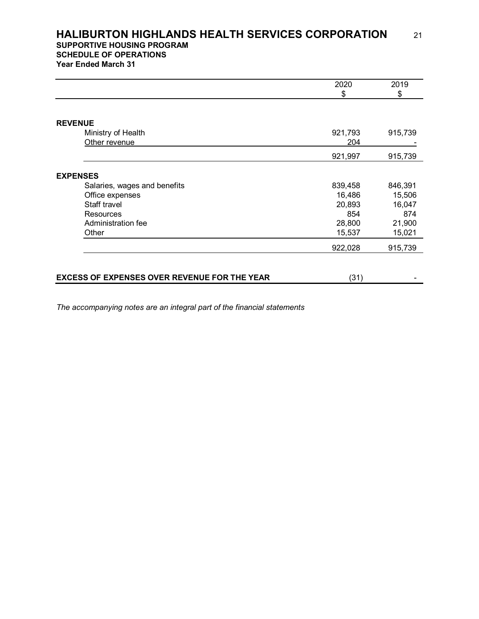# **HALIBURTON HIGHLANDS HEALTH SERVICES CORPORATION** 21 **SUPPORTIVE HOUSING PROGRAM**

**SCHEDULE OF OPERATIONS**

**Year Ended March 31**

|                                                     | 2020    | 2019    |
|-----------------------------------------------------|---------|---------|
|                                                     | \$      | \$      |
|                                                     |         |         |
| <b>REVENUE</b>                                      |         |         |
| Ministry of Health                                  | 921,793 | 915,739 |
| Other revenue                                       | 204     |         |
|                                                     | 921,997 | 915,739 |
| <b>EXPENSES</b>                                     |         |         |
| Salaries, wages and benefits                        | 839,458 | 846,391 |
| Office expenses                                     | 16,486  | 15,506  |
| Staff travel                                        | 20,893  | 16,047  |
| Resources                                           | 854     | 874     |
| Administration fee                                  | 28,800  | 21,900  |
| Other                                               | 15,537  | 15,021  |
|                                                     | 922,028 | 915,739 |
|                                                     |         |         |
| <b>EXCESS OF EXPENSES OVER REVENUE FOR THE YEAR</b> | (31)    |         |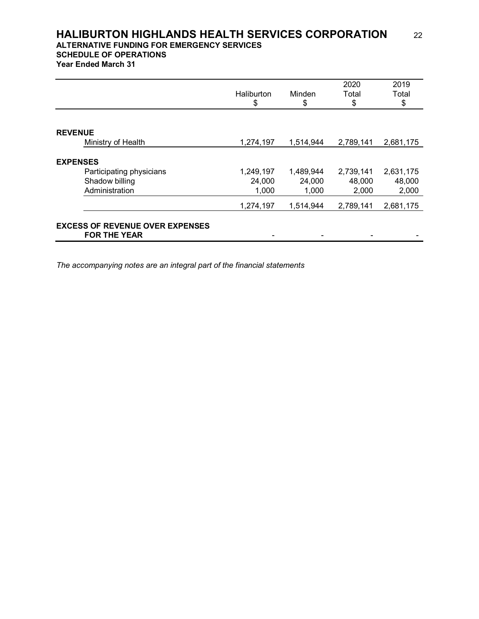**ALTERNATIVE FUNDING FOR EMERGENCY SERVICES**

**SCHEDULE OF OPERATIONS**

**Year Ended March 31**

|                                                               |            |           | 2020      | 2019      |
|---------------------------------------------------------------|------------|-----------|-----------|-----------|
|                                                               | Haliburton | Minden    | Total     | Total     |
|                                                               | \$         | \$        | \$        | \$        |
|                                                               |            |           |           |           |
| <b>REVENUE</b>                                                |            |           |           |           |
| Ministry of Health                                            | 1,274,197  | 1,514,944 | 2,789,141 | 2,681,175 |
|                                                               |            |           |           |           |
| <b>EXPENSES</b>                                               |            |           |           |           |
| Participating physicians                                      | 1,249,197  | 1,489,944 | 2,739,141 | 2,631,175 |
| Shadow billing                                                | 24,000     | 24,000    | 48,000    | 48,000    |
| Administration                                                | 1,000      | 1,000     | 2,000     | 2,000     |
|                                                               | 1,274,197  | 1,514,944 | 2,789,141 | 2,681,175 |
|                                                               |            |           |           |           |
| <b>EXCESS OF REVENUE OVER EXPENSES</b><br><b>FOR THE YEAR</b> |            |           |           |           |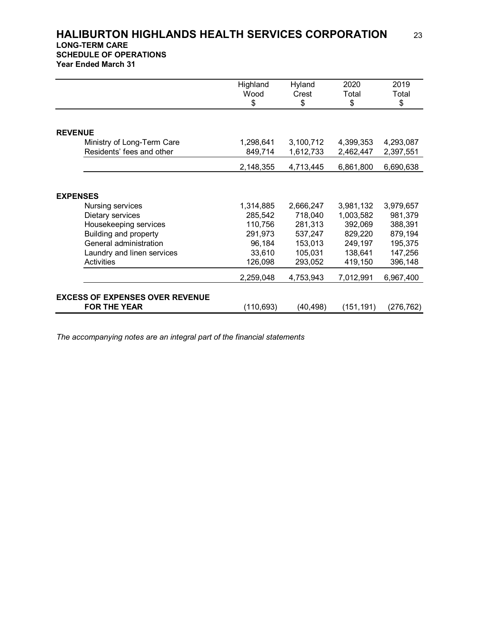# **LONG-TERM CARE**

**SCHEDULE OF OPERATIONS Year Ended March 31**

| rear Engeg March 31 |  |
|---------------------|--|
|                     |  |

|                                        | Highland   | Hyland    | 2020       | 2019       |
|----------------------------------------|------------|-----------|------------|------------|
|                                        | Wood       | Crest     | Total      | Total      |
|                                        | \$         | \$        | \$         | \$         |
|                                        |            |           |            |            |
| <b>REVENUE</b>                         |            |           |            |            |
| Ministry of Long-Term Care             | 1,298,641  | 3,100,712 | 4,399,353  | 4,293,087  |
| Residents' fees and other              | 849,714    | 1,612,733 | 2,462,447  | 2,397,551  |
|                                        | 2,148,355  | 4,713,445 | 6,861,800  | 6,690,638  |
|                                        |            |           |            |            |
| <b>EXPENSES</b>                        |            |           |            |            |
| Nursing services                       | 1,314,885  | 2,666,247 | 3,981,132  | 3,979,657  |
| Dietary services                       | 285,542    | 718,040   | 1,003,582  | 981,379    |
| Housekeeping services                  | 110,756    | 281,313   | 392,069    | 388,391    |
| Building and property                  | 291,973    | 537,247   | 829,220    | 879,194    |
| General administration                 | 96,184     | 153,013   | 249,197    | 195,375    |
| Laundry and linen services             | 33,610     | 105,031   | 138,641    | 147,256    |
| <b>Activities</b>                      | 126,098    | 293,052   | 419,150    | 396,148    |
|                                        | 2,259,048  | 4,753,943 | 7,012,991  | 6,967,400  |
| <b>EXCESS OF EXPENSES OVER REVENUE</b> |            |           |            |            |
| <b>FOR THE YEAR</b>                    | (110, 693) | (40, 498) | (151, 191) | (276, 762) |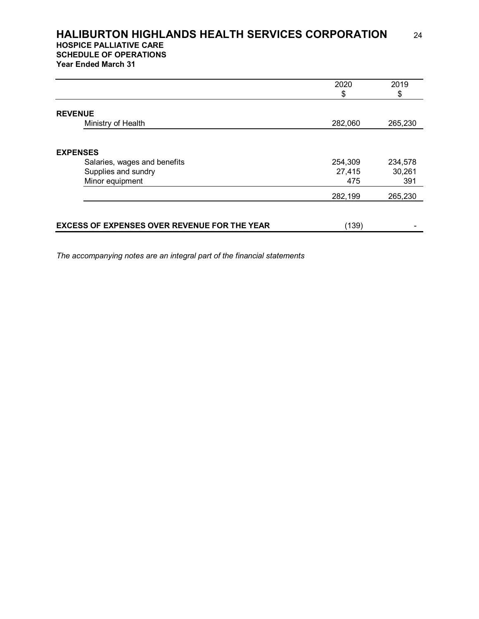**Year Ended March 31**

|                                                     | 2020    | 2019    |
|-----------------------------------------------------|---------|---------|
|                                                     | \$      | \$      |
|                                                     |         |         |
| <b>REVENUE</b>                                      |         |         |
| Ministry of Health                                  | 282,060 | 265,230 |
|                                                     |         |         |
| <b>EXPENSES</b>                                     |         |         |
| Salaries, wages and benefits                        | 254,309 | 234,578 |
| Supplies and sundry                                 | 27,415  | 30,261  |
| Minor equipment                                     | 475     | 391     |
|                                                     | 282,199 | 265,230 |
|                                                     |         |         |
| <b>EXCESS OF EXPENSES OVER REVENUE FOR THE YEAR</b> | (139)   |         |